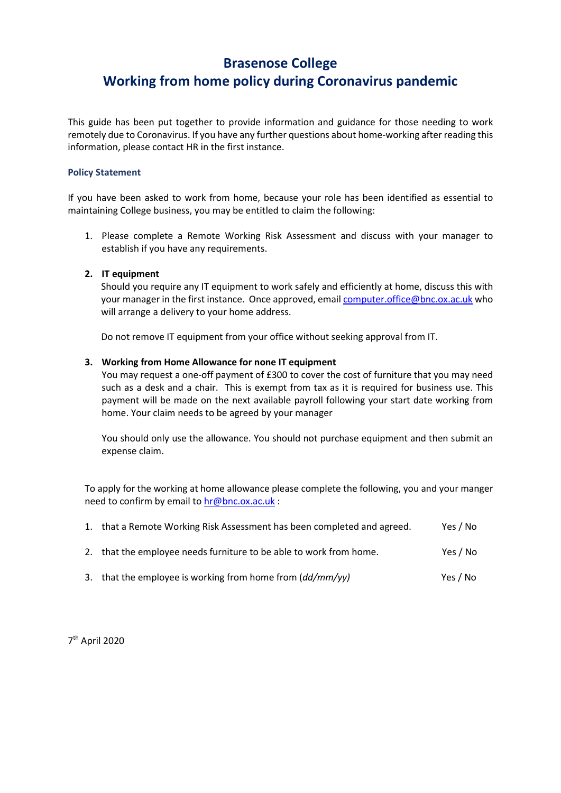## Brasenose College Working from home policy during Coronavirus pandemic

This guide has been put together to provide information and guidance for those needing to work remotely due to Coronavirus. If you have any further questions about home-working after reading this information, please contact HR in the first instance.

#### Policy Statement

If you have been asked to work from home, because your role has been identified as essential to maintaining College business, you may be entitled to claim the following:

1. Please complete a Remote Working Risk Assessment and discuss with your manager to establish if you have any requirements.

### 2. IT equipment

Should you require any IT equipment to work safely and efficiently at home, discuss this with your manager in the first instance. Once approved, email computer.office@bnc.ox.ac.uk who will arrange a delivery to your home address.

Do not remove IT equipment from your office without seeking approval from IT.

### 3. Working from Home Allowance for none IT equipment

You may request a one-off payment of £300 to cover the cost of furniture that you may need such as a desk and a chair. This is exempt from tax as it is required for business use. This payment will be made on the next available payroll following your start date working from home. Your claim needs to be agreed by your manager

You should only use the allowance. You should not purchase equipment and then submit an expense claim.

To apply for the working at home allowance please complete the following, you and your manger need to confirm by email to hr@bnc.ox.ac.uk :

| 1. that a Remote Working Risk Assessment has been completed and agreed. | Yes / No |
|-------------------------------------------------------------------------|----------|
| 2. that the employee needs furniture to be able to work from home.      | Yes / No |
| 3. that the employee is working from home from (dd/mm/yy)               | Yes / No |

7 th April 2020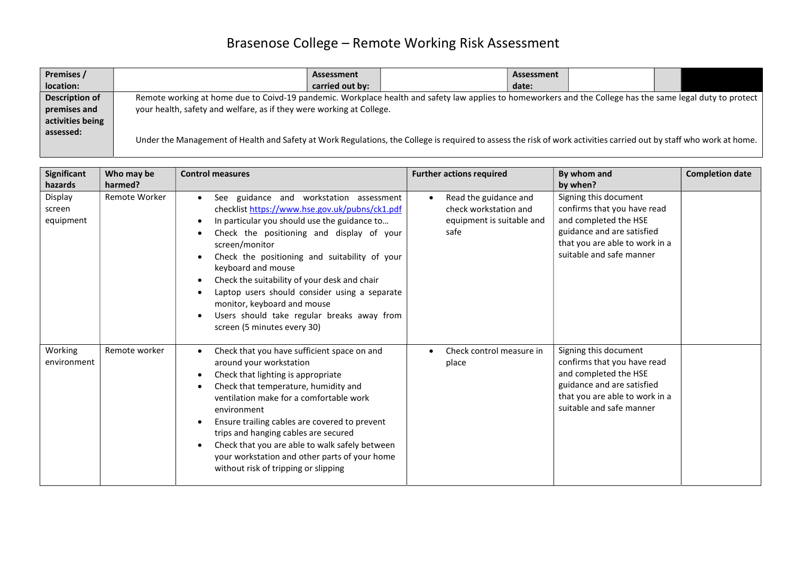# Brasenose College – Remote Working Risk Assessment

| Premises /                                                                           | Assessment                                                                                                                                                          | Assessment |  |  |  |
|--------------------------------------------------------------------------------------|---------------------------------------------------------------------------------------------------------------------------------------------------------------------|------------|--|--|--|
| location:                                                                            | carried out by:                                                                                                                                                     | date:      |  |  |  |
| Description of                                                                       | Remote working at home due to Coivd-19 pandemic. Workplace health and safety law applies to homeworkers and the College has the same legal duty to protect          |            |  |  |  |
| your health, safety and welfare, as if they were working at College.<br>premises and |                                                                                                                                                                     |            |  |  |  |
| activities being                                                                     |                                                                                                                                                                     |            |  |  |  |
| assessed:                                                                            | Under the Management of Health and Safety at Work Regulations, the College is required to assess the risk of work activities carried out by staff who work at home. |            |  |  |  |

| Significant                    | Who may be    | <b>Control measures</b>                                                                                                                                                                                                                                                                                                                                                                                                                                                                                                | <b>Further actions required</b>                                                                  | By whom and                                                                                                                                                               | <b>Completion date</b> |
|--------------------------------|---------------|------------------------------------------------------------------------------------------------------------------------------------------------------------------------------------------------------------------------------------------------------------------------------------------------------------------------------------------------------------------------------------------------------------------------------------------------------------------------------------------------------------------------|--------------------------------------------------------------------------------------------------|---------------------------------------------------------------------------------------------------------------------------------------------------------------------------|------------------------|
| hazards                        | harmed?       |                                                                                                                                                                                                                                                                                                                                                                                                                                                                                                                        |                                                                                                  | by when?                                                                                                                                                                  |                        |
| Display<br>screen<br>equipment | Remote Worker | See guidance and workstation assessment<br>checklist https://www.hse.gov.uk/pubns/ck1.pdf<br>In particular you should use the guidance to<br>$\bullet$<br>Check the positioning and display of your<br>screen/monitor<br>Check the positioning and suitability of your<br>keyboard and mouse<br>Check the suitability of your desk and chair<br>$\bullet$<br>Laptop users should consider using a separate<br>monitor, keyboard and mouse<br>Users should take regular breaks away from<br>screen (5 minutes every 30) | Read the guidance and<br>$\bullet$<br>check workstation and<br>equipment is suitable and<br>safe | Signing this document<br>confirms that you have read<br>and completed the HSE<br>guidance and are satisfied<br>that you are able to work in a<br>suitable and safe manner |                        |
| Working<br>environment         | Remote worker | Check that you have sufficient space on and<br>around your workstation<br>Check that lighting is appropriate<br>$\bullet$<br>Check that temperature, humidity and<br>ventilation make for a comfortable work<br>environment<br>Ensure trailing cables are covered to prevent<br>$\bullet$<br>trips and hanging cables are secured<br>Check that you are able to walk safely between<br>your workstation and other parts of your home<br>without risk of tripping or slipping                                           | Check control measure in<br>$\bullet$<br>place                                                   | Signing this document<br>confirms that you have read<br>and completed the HSE<br>guidance and are satisfied<br>that you are able to work in a<br>suitable and safe manner |                        |